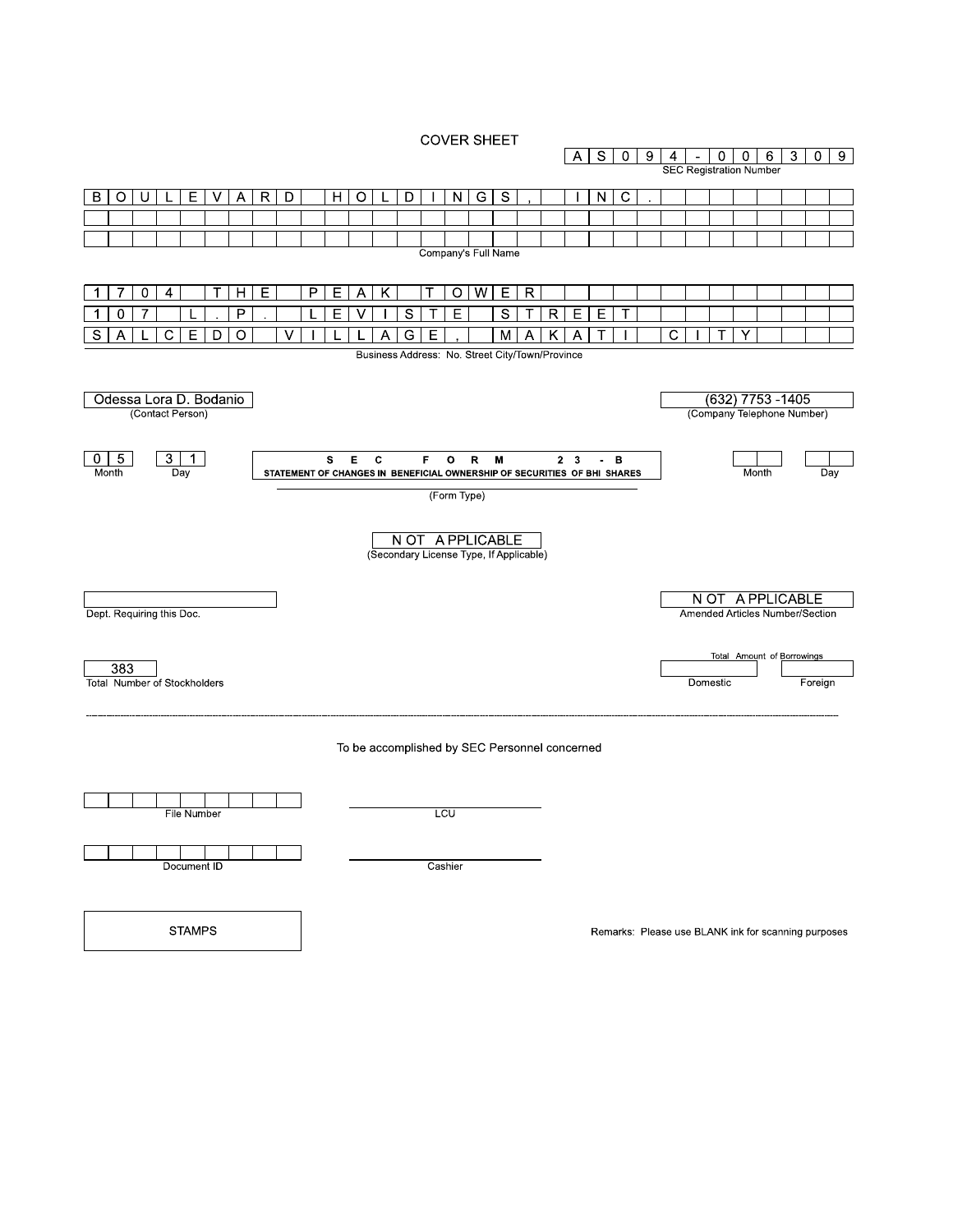**COVER SHEET** 



**STAMPS** 

Remarks: Please use BLANK ink for scanning purposes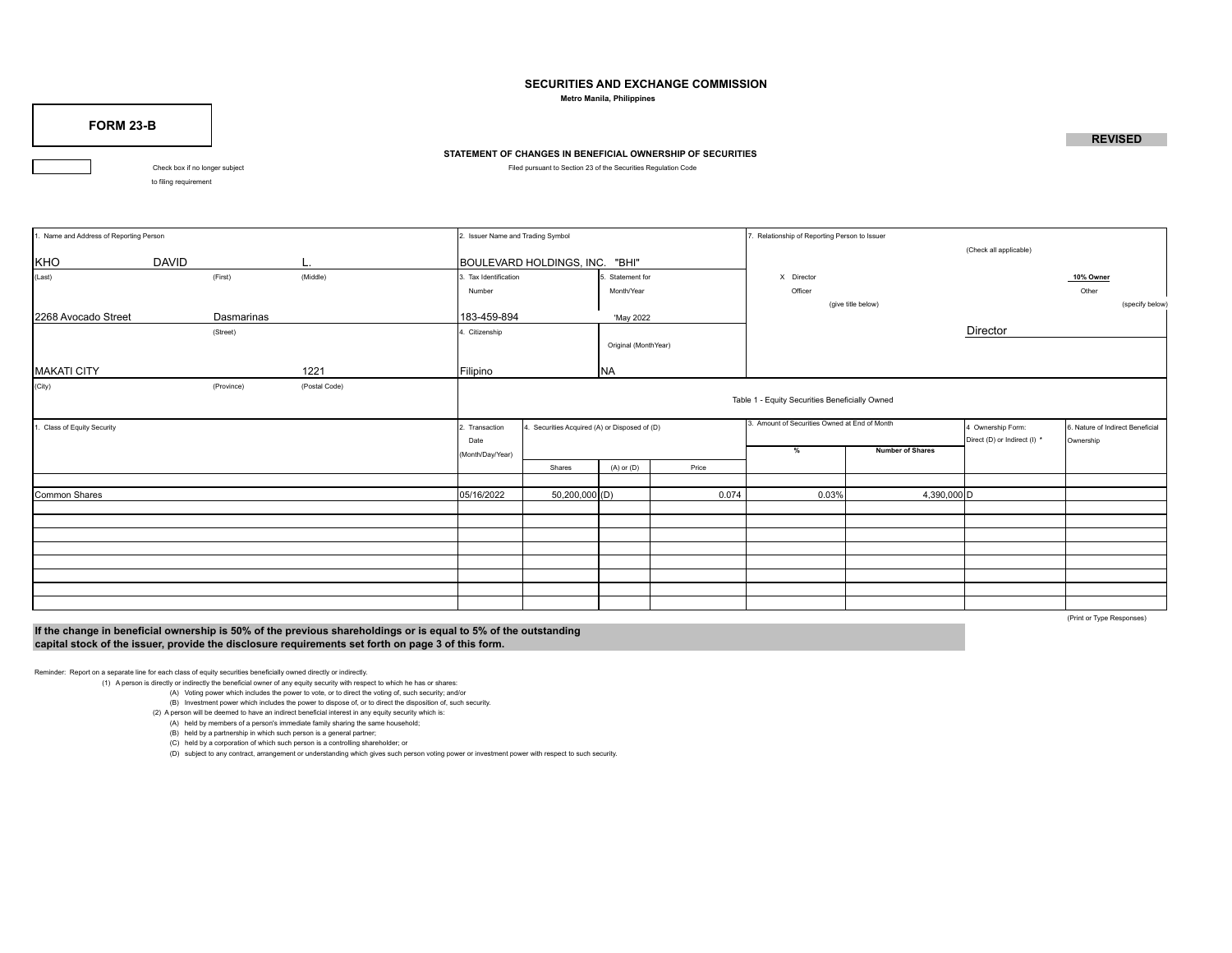## **SECURITIES AND EXCHANGE COMMISSION**

 **Metro Manila, Philippines**

**FORM 23-B**

## **STATEMENT OF CHANGES IN BENEFICIAL OWNERSHIP OF SECURITIES**

Check box if no longer subject **Filed pursuant to Section 23 of the Securities Regulation Code** 

to filing requirement

| 1. Name and Address of Reporting Person |                                                                                              |                        | 2. Issuer Name and Trading Symbol             |                                                |                                |                                               | 7. Relationship of Reporting Person to Issuer |                                                   |                                               |                        |                 |  |  |
|-----------------------------------------|----------------------------------------------------------------------------------------------|------------------------|-----------------------------------------------|------------------------------------------------|--------------------------------|-----------------------------------------------|-----------------------------------------------|---------------------------------------------------|-----------------------------------------------|------------------------|-----------------|--|--|
| KHO                                     | <b>DAVID</b>                                                                                 |                        | L.                                            |                                                | BOULEVARD HOLDINGS, INC. "BHI" |                                               |                                               |                                                   |                                               | (Check all applicable) |                 |  |  |
| (Last)                                  |                                                                                              | (First)                | (Middle)                                      | 3. Tax Identification                          |                                | Statement for                                 |                                               | X Director                                        |                                               |                        | 10% Owner       |  |  |
|                                         |                                                                                              |                        |                                               | Number                                         |                                | Month/Year                                    |                                               | Officer                                           |                                               |                        | Other           |  |  |
|                                         |                                                                                              |                        |                                               |                                                |                                |                                               |                                               |                                                   | (give title below)                            |                        | (specify below) |  |  |
| 2268 Avocado Street                     | Dasmarinas<br>183-459-894<br>'May 2022<br>1. Citizenship<br>(Street)<br>Original (MonthYear) |                        |                                               |                                                |                                |                                               |                                               |                                                   |                                               |                        |                 |  |  |
|                                         |                                                                                              |                        |                                               |                                                |                                |                                               |                                               |                                                   |                                               | Director               |                 |  |  |
|                                         |                                                                                              |                        |                                               |                                                |                                |                                               |                                               |                                                   |                                               |                        |                 |  |  |
| <b>MAKATI CITY</b>                      |                                                                                              |                        | 1221                                          | Filipino<br>NA                                 |                                |                                               |                                               |                                                   |                                               |                        |                 |  |  |
| (City)                                  |                                                                                              | (Province)             | (Postal Code)                                 | Table 1 - Equity Securities Beneficially Owned |                                |                                               |                                               |                                                   |                                               |                        |                 |  |  |
| . Class of Equity Security              |                                                                                              | 2. Transaction<br>Date | 4. Securities Acquired (A) or Disposed of (D) |                                                |                                | 3. Amount of Securities Owned at End of Month |                                               | 4 Ownership Form:<br>Direct (D) or Indirect (I) * | 6. Nature of Indirect Beneficial<br>Ownership |                        |                 |  |  |
|                                         |                                                                                              |                        |                                               | (Month/Day/Year)                               |                                |                                               |                                               | $\frac{9}{6}$                                     | <b>Number of Shares</b>                       |                        |                 |  |  |
|                                         |                                                                                              |                        |                                               |                                                | Shares                         | $(A)$ or $(D)$                                | Price                                         |                                                   |                                               |                        |                 |  |  |
|                                         |                                                                                              |                        |                                               |                                                |                                |                                               |                                               |                                                   |                                               |                        |                 |  |  |
| Common Shares                           |                                                                                              |                        |                                               | 05/16/2022                                     | $50,200,000$ (D)               |                                               | 0.074                                         | 0.03%                                             | 4,390,000 D                                   |                        |                 |  |  |
|                                         |                                                                                              |                        |                                               |                                                |                                |                                               |                                               |                                                   |                                               |                        |                 |  |  |
|                                         |                                                                                              |                        |                                               |                                                |                                |                                               |                                               |                                                   |                                               |                        |                 |  |  |
|                                         |                                                                                              |                        |                                               |                                                |                                |                                               |                                               |                                                   |                                               |                        |                 |  |  |
|                                         |                                                                                              |                        |                                               |                                                |                                |                                               |                                               |                                                   |                                               |                        |                 |  |  |
|                                         |                                                                                              |                        |                                               |                                                |                                |                                               |                                               |                                                   |                                               |                        |                 |  |  |
|                                         |                                                                                              |                        |                                               |                                                |                                |                                               |                                               |                                                   |                                               |                        |                 |  |  |
|                                         |                                                                                              |                        |                                               |                                                |                                |                                               |                                               |                                                   |                                               |                        |                 |  |  |
|                                         |                                                                                              |                        |                                               |                                                |                                |                                               |                                               |                                                   |                                               |                        |                 |  |  |

**If the change in beneficial ownership is 50% of the previous shareholdings or is equal to 5% of the outstanding capital stock of the issuer, provide the disclosure requirements set forth on page 3 of this form.**

(Print or Type Responses)

Reminder: Report on a separate line for each class of equity securities beneficially owned directly or indirectly.

(1) A person is directly or indirectly the beneficial owner of any equity security with respect to which he has or shares:

(A) Voting power which includes the power to vote, or to direct the voting of, such security; and/or (B) Investment power which includes the power to dispose of, or to direct the disposition of, such security.

(2) A person will be deemed to have an indirect beneficial interest in any equity security which is:

 (A) held by members of a person's immediate family sharing the same household; (B) held by a partnership in which such person is a general partner;

(C) held by a corporation of which such person is a controlling shareholder; or

(D) subject to any contract, arrangement or understanding which gives such person voting power or investment power with respect to such security.

**REVISED**